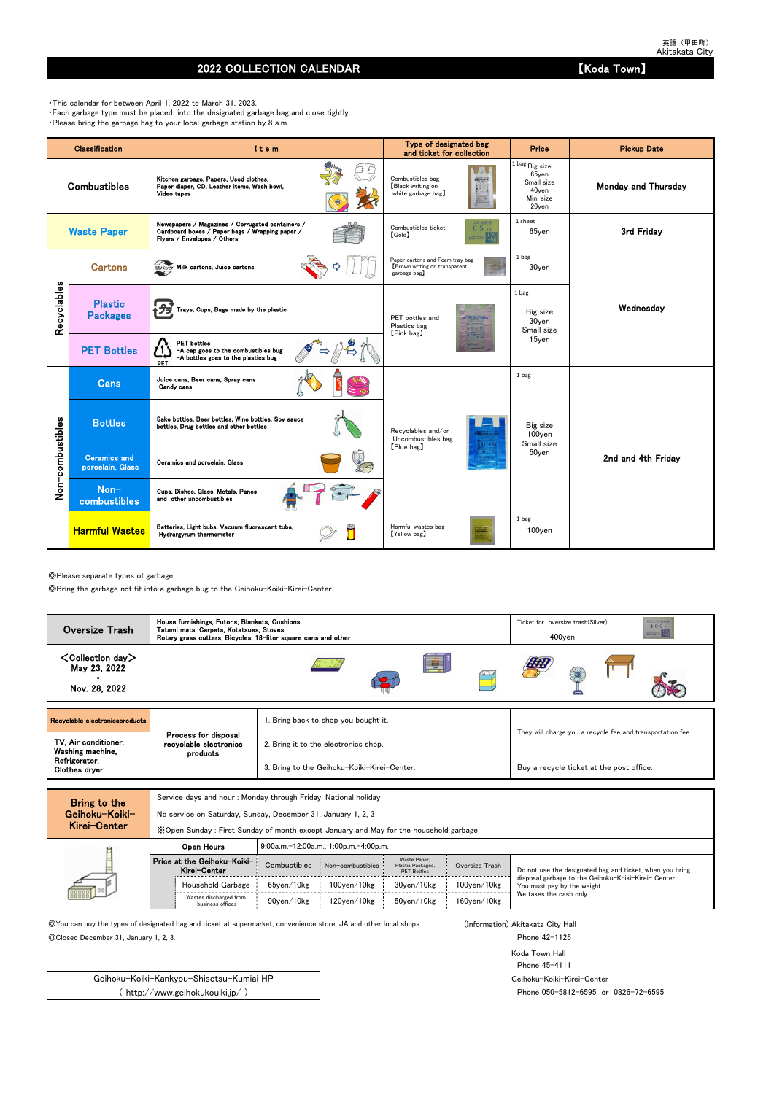英語(甲田町) Akitakata City

## 2022 COLLECTION CALENDAR **Example 2022** COLLECTION CALENDAR

◎Please separate types of garbage.

◎Bring the garbage not fit into a garbage bug to the Geihoku-Koiki-Kirei-Center.

Service days and hour : Monday through Friday, National holiday

No service on Saturday, Sunday, December 31, January 1, 2, 3

◎You can buy the types of designated bag and ticket at supermarket, convenience store, JA and other local shops. (Information) Akitakata City Hall

◎Closed December 31, January 1, 2, 3. Phone 42-1126

Koda Town Hall Phone 45-4111 Geihoku-Koiki-Kirei-Center Phone 050-5812-6595 or 0826-72-6595

・This calendar for between April 1, 2022 to March 31, 2023. ・Each garbage type must be placed into the designated garbage bag and close tightly. ・Please bring the garbage bag to your local garbage station by 8 a.m.

|                  | <b>Classification</b>                   | Item                                                                                                                               | Type of designated bag<br>and ticket for collection                             | Price                                                                               | <b>Pickup Date</b>  |
|------------------|-----------------------------------------|------------------------------------------------------------------------------------------------------------------------------------|---------------------------------------------------------------------------------|-------------------------------------------------------------------------------------|---------------------|
|                  | <b>Combustibles</b>                     | Kitchen garbage, Papers, Used clothes,<br>Paper diaper, CD, Leather items, Wash bowl,<br>Video tapes                               | Combustibles bag<br>2個えるごみ(の)<br>Black writing on<br>white garbage bag)         | $1$ bag $_{\rm Big\ size}$<br>65yen<br>Small size<br>40yen<br>Mini size<br>$20$ yen | Monday and Thursday |
|                  | <b>Waste Paper</b>                      | Newspapers / Magazines / Corrugated containers /<br>Cardboard boxes / Paper bags / Wrapping paper /<br>Flyers / Envelopes / Others | ごみ処理券<br>Combustibles ticket<br>65円<br>$[\text{Gold}]$<br>主出 終界袋                | 1 sheet<br>65yen                                                                    | 3rd Friday          |
|                  | <b>Cartons</b>                          | <b>細パック Milk cartons, Juice cartons</b>                                                                                            | Paper cartons and Foam tray bag<br>Brown writing on transparent<br>garbage bag】 | 1 bag<br>30yen                                                                      |                     |
| Recyclables      | <b>Plastic</b><br><b>Packages</b>       | <mark>春プヺ</mark> Trays, Cups, Bags made by the plastic                                                                             | PET bottles and<br>Plastics bag<br>[Pink bag]                                   | 1 bag<br>Big size<br>30yen<br>Small size                                            | Wednesday           |
|                  | <b>PET Bottles</b>                      | <b>PET</b> bottles<br>-A cap goes to the combustibles bug<br>-A bottles goes to the plastics bug<br>PET                            |                                                                                 | 15yen                                                                               |                     |
|                  | <b>Cans</b>                             | Juice cans, Beer cans, Spray cans<br>Candy cans                                                                                    |                                                                                 | 1 bag                                                                               |                     |
|                  | <b>Bottles</b>                          | Sake bottles, Beer bottles, Wine bottles, Soy sauce<br>bottles, Drug bottles and other bottles                                     | Recyclables and/or<br>Uncombustibles bag                                        | Big size<br>100yen<br>Small size                                                    |                     |
| Non-combustibles | <b>Ceramics and</b><br>porcelain, Glass | Ceramics and porcelain, Glass                                                                                                      | [Blue bag]                                                                      | 50yen                                                                               | 2nd and 4th Friday  |
|                  | Non-<br>combustibles                    | Cups, Dishes, Glass, Metals, Panes<br>and other uncombustibles                                                                     |                                                                                 |                                                                                     |                     |
|                  | <b>Harmful Wastes</b>                   | Batteries, Light bubs, Vacuum fluorescent tube,<br>Hydrargyrum thermometer                                                         | Harmful wastes bag<br>[Yellow bag]                                              | 1 bag<br>100yen                                                                     |                     |

| MIGI VEILEI |                                             | X Open Sunday: First Sunday of month except January and May for the household garbage |                                       |                                                         |                    |                                                                                     |
|-------------|---------------------------------------------|---------------------------------------------------------------------------------------|---------------------------------------|---------------------------------------------------------|--------------------|-------------------------------------------------------------------------------------|
|             | Open Hours                                  |                                                                                       | 9:00a.m.-12:00a.m., 1:00p.m.-4:00p.m. |                                                         |                    |                                                                                     |
|             | Price at the Geihoku-Koiki-<br>Kirei-Center | Combustibles                                                                          | Non-combustibles                      | Waste Paper.<br>Plastic Packages,<br><b>PET Bottles</b> | Oversize Trash     | Do not use the designated bag and ticket, when you bring                            |
| 000000      | Household Garbage                           | 65ven/10kg                                                                            | $100$ ven $/10$ kg                    | 30ven/10kg                                              | $100$ yen $/10$ kg | disposal garbage to the Geihoku-Koiki-Kirei- Center.<br>You must pay by the weight. |
|             | Wastes discharged from<br>business offices  | 90ven/10kg                                                                            | 120ven/10kg                           | 50ven/10kg                                              | $160$ ven $/10$ kg | We takes the cash only.                                                             |

Geihoku-Koiki-Kankyou-Shisetsu-Kumiai HP ( http://www.geihokukouiki.jp/ )

| <b>Oversize Trash</b>                                      | House furnishings, Futons, Blankets, Cushions,<br>Tatami mats, Carpets, Kotatsues, Stoves,<br>Rotary grass cutters, Bicycles, 18-liter square cans and other |                                             | 相大ごみ処理券<br>Ticket for oversize trash (Silver)<br>400円<br><b>RESORTE</b><br>$400$ yen |  |  |  |  |
|------------------------------------------------------------|--------------------------------------------------------------------------------------------------------------------------------------------------------------|---------------------------------------------|--------------------------------------------------------------------------------------|--|--|--|--|
| $\textsf{Collection day}$<br>May 23, 2022<br>Nov. 28, 2022 |                                                                                                                                                              | E.                                          |                                                                                      |  |  |  |  |
| Recyclable electronicsproducts                             |                                                                                                                                                              | . Bring back to shop you bought it.         |                                                                                      |  |  |  |  |
| TV, Air conditioner,<br>Washing machine,                   | Process for disposal<br>recyclable electronics<br>products                                                                                                   | 2. Bring it to the electronics shop.        | They will charge you a recycle fee and transportation fee.                           |  |  |  |  |
| Refrigerator,<br>Clothes dryer                             |                                                                                                                                                              | 3. Bring to the Geihoku-Koiki-Kirei-Center. | Buy a recycle ticket at the post office.                                             |  |  |  |  |
|                                                            |                                                                                                                                                              |                                             |                                                                                      |  |  |  |  |

Bring to the Geihoku-Koiki-Kirei-Center